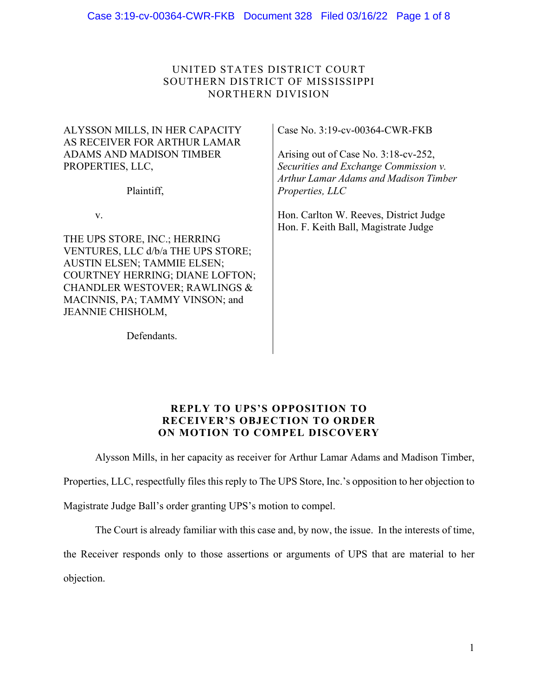# UNITED STATES DISTRICT COURT SOUTHERN DISTRICT OF MISSISSIPPI NORTHERN DIVISION

# ALYSSON MILLS, IN HER CAPACITY AS RECEIVER FOR ARTHUR LAMAR ADAMS AND MADISON TIMBER PROPERTIES, LLC,

Plaintiff,

v.

THE UPS STORE, INC.; HERRING VENTURES, LLC d/b/a THE UPS STORE; AUSTIN ELSEN; TAMMIE ELSEN; COURTNEY HERRING; DIANE LOFTON; CHANDLER WESTOVER; RAWLINGS & MACINNIS, PA; TAMMY VINSON; and JEANNIE CHISHOLM,

Defendants.

Case No. 3:19-cv-00364-CWR-FKB

Arising out of Case No. 3:18-cv-252, *Securities and Exchange Commission v. Arthur Lamar Adams and Madison Timber Properties, LLC*

Hon. Carlton W. Reeves, District Judge Hon. F. Keith Ball, Magistrate Judge

# **REPLY TO UPS'S OPPOSITION TO RECEIVER'S OBJECTION TO ORDER ON MOTION TO COMPEL DISCOVERY**

Alysson Mills, in her capacity as receiver for Arthur Lamar Adams and Madison Timber,

Properties, LLC, respectfully files this reply to The UPS Store, Inc.'s opposition to her objection to

Magistrate Judge Ball's order granting UPS's motion to compel.

The Court is already familiar with this case and, by now, the issue. In the interests of time,

the Receiver responds only to those assertions or arguments of UPS that are material to her

objection.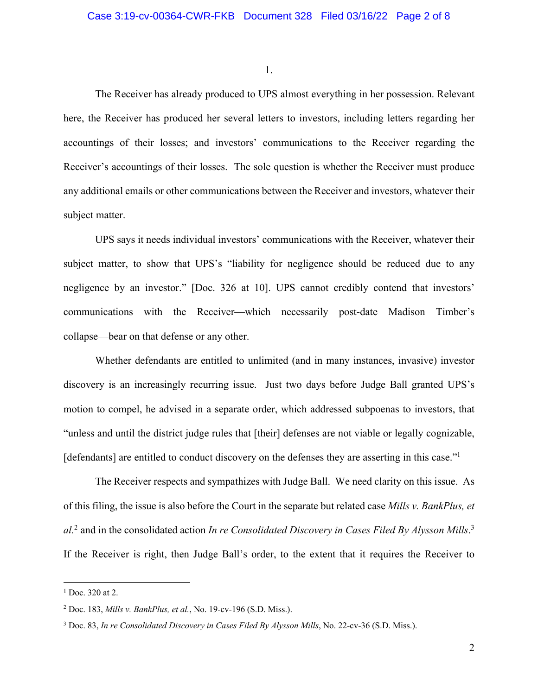1.

The Receiver has already produced to UPS almost everything in her possession. Relevant here, the Receiver has produced her several letters to investors, including letters regarding her accountings of their losses; and investors' communications to the Receiver regarding the Receiver's accountings of their losses. The sole question is whether the Receiver must produce any additional emails or other communications between the Receiver and investors, whatever their subject matter.

UPS says it needs individual investors' communications with the Receiver, whatever their subject matter, to show that UPS's "liability for negligence should be reduced due to any negligence by an investor." [Doc. 326 at 10]. UPS cannot credibly contend that investors' communications with the Receiver—which necessarily post-date Madison Timber's collapse—bear on that defense or any other.

Whether defendants are entitled to unlimited (and in many instances, invasive) investor discovery is an increasingly recurring issue. Just two days before Judge Ball granted UPS's motion to compel, he advised in a separate order, which addressed subpoenas to investors, that "unless and until the district judge rules that [their] defenses are not viable or legally cognizable, [defendants] are entitled to conduct discovery on the defenses they are asserting in this case."<sup>1</sup>

The Receiver respects and sympathizes with Judge Ball. We need clarity on this issue. As of this filing, the issue is also before the Court in the separate but related case *Mills v. BankPlus, et al.*<sup>2</sup> and in the consolidated action *In re Consolidated Discovery in Cases Filed By Alysson Mills*. 3 If the Receiver is right, then Judge Ball's order, to the extent that it requires the Receiver to

 $1$  Doc. 320 at 2.

<sup>2</sup> Doc. 183, *Mills v. BankPlus, et al.*, No. 19-cv-196 (S.D. Miss.).

<sup>3</sup> Doc. 83, *In re Consolidated Discovery in Cases Filed By Alysson Mills*, No. 22-cv-36 (S.D. Miss.).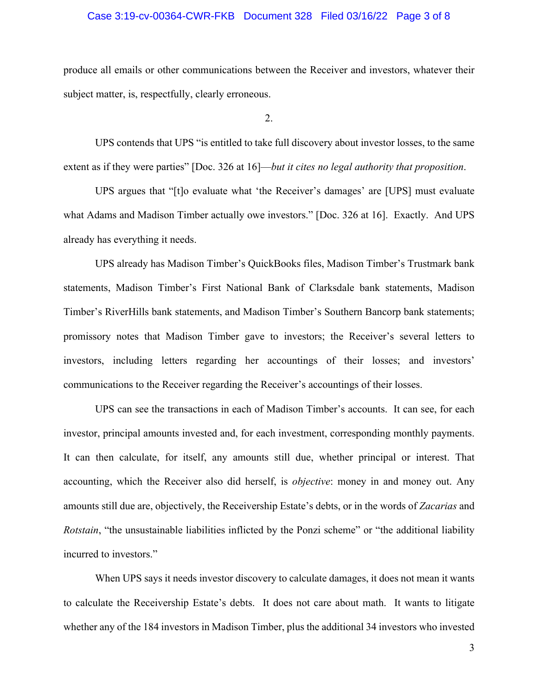#### Case 3:19-cv-00364-CWR-FKB Document 328 Filed 03/16/22 Page 3 of 8

produce all emails or other communications between the Receiver and investors, whatever their subject matter, is, respectfully, clearly erroneous.

2.

UPS contends that UPS "is entitled to take full discovery about investor losses, to the same extent as if they were parties" [Doc. 326 at 16]—*but it cites no legal authority that proposition*.

UPS argues that "[t]o evaluate what 'the Receiver's damages' are [UPS] must evaluate what Adams and Madison Timber actually owe investors." [Doc. 326 at 16]. Exactly. And UPS already has everything it needs.

UPS already has Madison Timber's QuickBooks files, Madison Timber's Trustmark bank statements, Madison Timber's First National Bank of Clarksdale bank statements, Madison Timber's RiverHills bank statements, and Madison Timber's Southern Bancorp bank statements; promissory notes that Madison Timber gave to investors; the Receiver's several letters to investors, including letters regarding her accountings of their losses; and investors' communications to the Receiver regarding the Receiver's accountings of their losses.

UPS can see the transactions in each of Madison Timber's accounts. It can see, for each investor, principal amounts invested and, for each investment, corresponding monthly payments. It can then calculate, for itself, any amounts still due, whether principal or interest. That accounting, which the Receiver also did herself, is *objective*: money in and money out. Any amounts still due are, objectively, the Receivership Estate's debts, or in the words of *Zacarias* and *Rotstain*, "the unsustainable liabilities inflicted by the Ponzi scheme" or "the additional liability incurred to investors."

When UPS says it needs investor discovery to calculate damages, it does not mean it wants to calculate the Receivership Estate's debts. It does not care about math. It wants to litigate whether any of the 184 investors in Madison Timber, plus the additional 34 investors who invested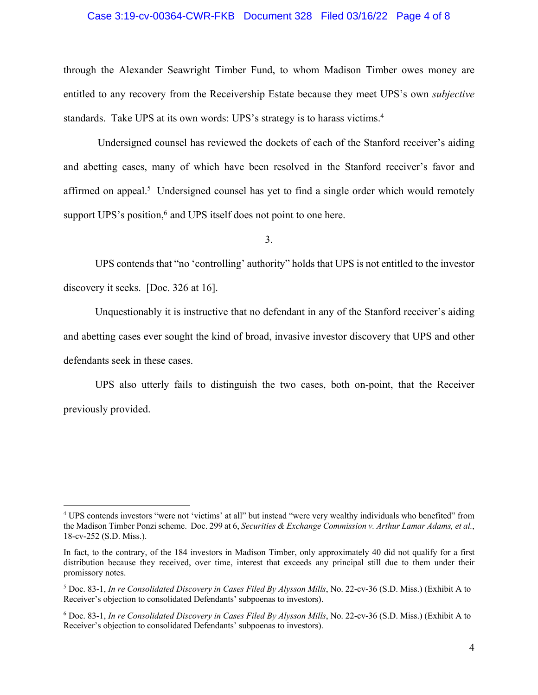#### Case 3:19-cv-00364-CWR-FKB Document 328 Filed 03/16/22 Page 4 of 8

through the Alexander Seawright Timber Fund, to whom Madison Timber owes money are entitled to any recovery from the Receivership Estate because they meet UPS's own *subjective* standards. Take UPS at its own words: UPS's strategy is to harass victims.<sup>4</sup>

Undersigned counsel has reviewed the dockets of each of the Stanford receiver's aiding and abetting cases, many of which have been resolved in the Stanford receiver's favor and affirmed on appeal.<sup>5</sup> Undersigned counsel has yet to find a single order which would remotely support UPS's position,<sup>6</sup> and UPS itself does not point to one here.

3.

UPS contends that "no 'controlling' authority" holds that UPS is not entitled to the investor discovery it seeks. [Doc. 326 at 16].

Unquestionably it is instructive that no defendant in any of the Stanford receiver's aiding and abetting cases ever sought the kind of broad, invasive investor discovery that UPS and other defendants seek in these cases.

UPS also utterly fails to distinguish the two cases, both on-point, that the Receiver previously provided.

<sup>4</sup> UPS contends investors "were not 'victims' at all" but instead "were very wealthy individuals who benefited" from the Madison Timber Ponzi scheme. Doc. 299 at 6, *Securities & Exchange Commission v. Arthur Lamar Adams, et al.*, 18-cv-252 (S.D. Miss.).

In fact, to the contrary, of the 184 investors in Madison Timber, only approximately 40 did not qualify for a first distribution because they received, over time, interest that exceeds any principal still due to them under their promissory notes.

<sup>5</sup> Doc. 83-1, *In re Consolidated Discovery in Cases Filed By Alysson Mills*, No. 22-cv-36 (S.D. Miss.) (Exhibit A to Receiver's objection to consolidated Defendants' subpoenas to investors).

<sup>6</sup> Doc. 83-1, *In re Consolidated Discovery in Cases Filed By Alysson Mills*, No. 22-cv-36 (S.D. Miss.) (Exhibit A to Receiver's objection to consolidated Defendants' subpoenas to investors).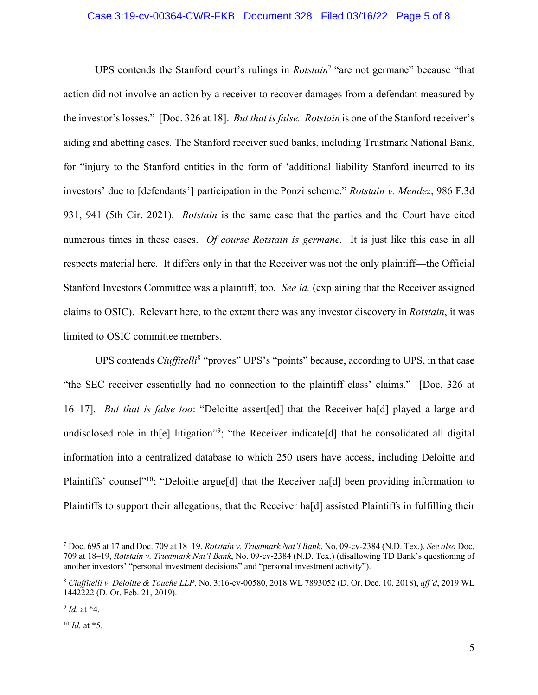#### Case 3:19-cv-00364-CWR-FKB Document 328 Filed 03/16/22 Page 5 of 8

UPS contends the Stanford court's rulings in *Rotstain*<sup>7</sup> "are not germane" because "that action did not involve an action by a receiver to recover damages from a defendant measured by the investor's losses." [Doc. 326 at 18]. *But that is false. Rotstain* is one of the Stanford receiver's aiding and abetting cases. The Stanford receiver sued banks, including Trustmark National Bank, for "injury to the Stanford entities in the form of 'additional liability Stanford incurred to its investors' due to [defendants'] participation in the Ponzi scheme." *Rotstain v. Mendez*, 986 F.3d 931, 941 (5th Cir. 2021). *Rotstain* is the same case that the parties and the Court have cited numerous times in these cases. *Of course Rotstain is germane.* It is just like this case in all respects material here. It differs only in that the Receiver was not the only plaintiff—the Official Stanford Investors Committee was a plaintiff, too. *See id.* (explaining that the Receiver assigned claims to OSIC). Relevant here, to the extent there was any investor discovery in *Rotstain*, it was limited to OSIC committee members.

UPS contends *Ciuffitelli*<sup>8</sup> "proves" UPS's "points" because, according to UPS, in that case "the SEC receiver essentially had no connection to the plaintiff class' claims." [Doc. 326 at 16–17]. *But that is false too*: "Deloitte assert[ed] that the Receiver ha[d] played a large and undisclosed role in th[e] litigation"<sup>9</sup>; "the Receiver indicate[d] that he consolidated all digital information into a centralized database to which 250 users have access, including Deloitte and Plaintiffs' counsel"<sup>10</sup>; "Deloitte argue<sup>[d]</sup> that the Receiver ha<sup>[d]</sup> been providing information to Plaintiffs to support their allegations, that the Receiver ha[d] assisted Plaintiffs in fulfilling their

<sup>7</sup> Doc. 695 at 17 and Doc. 709 at 18–19, *Rotstain v. Trustmark Nat'l Bank*, No. 09-cv-2384 (N.D. Tex.). *See also* Doc. 709 at 18–19, *Rotstain v. Trustmark Nat'l Bank*, No. 09-cv-2384 (N.D. Tex.) (disallowing TD Bank's questioning of another investors' "personal investment decisions" and "personal investment activity").

<sup>8</sup> *Ciuffitelli v. Deloitte & Touche LLP*, No. 3:16-cv-00580, 2018 WL 7893052 (D. Or. Dec. 10, 2018), *aff'd*, 2019 WL 1442222 (D. Or. Feb. 21, 2019).

<sup>9</sup> *Id.* at \*4.

<sup>10</sup> *Id.* at \*5.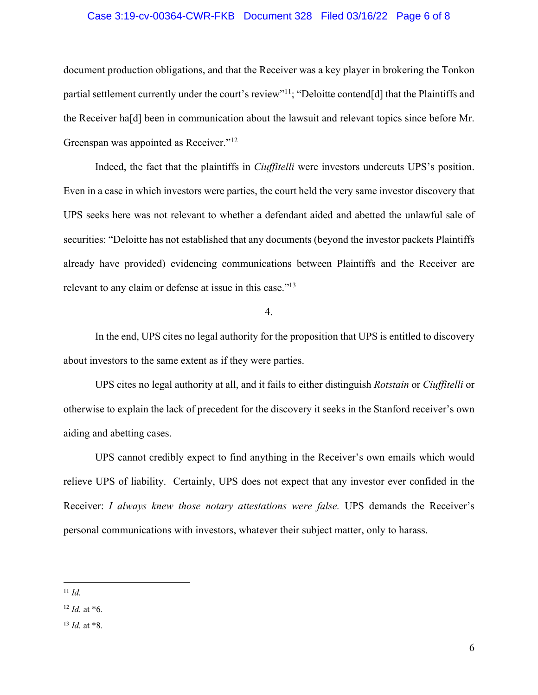#### Case 3:19-cv-00364-CWR-FKB Document 328 Filed 03/16/22 Page 6 of 8

document production obligations, and that the Receiver was a key player in brokering the Tonkon partial settlement currently under the court's review"11; "Deloitte contend[d] that the Plaintiffs and the Receiver ha[d] been in communication about the lawsuit and relevant topics since before Mr. Greenspan was appointed as Receiver."12

Indeed, the fact that the plaintiffs in *Ciuffitelli* were investors undercuts UPS's position. Even in a case in which investors were parties, the court held the very same investor discovery that UPS seeks here was not relevant to whether a defendant aided and abetted the unlawful sale of securities: "Deloitte has not established that any documents (beyond the investor packets Plaintiffs already have provided) evidencing communications between Plaintiffs and the Receiver are relevant to any claim or defense at issue in this case."<sup>13</sup>

4.

In the end, UPS cites no legal authority for the proposition that UPS is entitled to discovery about investors to the same extent as if they were parties.

UPS cites no legal authority at all, and it fails to either distinguish *Rotstain* or *Ciuffitelli* or otherwise to explain the lack of precedent for the discovery it seeks in the Stanford receiver's own aiding and abetting cases.

UPS cannot credibly expect to find anything in the Receiver's own emails which would relieve UPS of liability. Certainly, UPS does not expect that any investor ever confided in the Receiver: *I always knew those notary attestations were false.* UPS demands the Receiver's personal communications with investors, whatever their subject matter, only to harass.

<sup>11</sup> *Id.*

<sup>12</sup> *Id.* at \*6.

<sup>13</sup> *Id.* at \*8.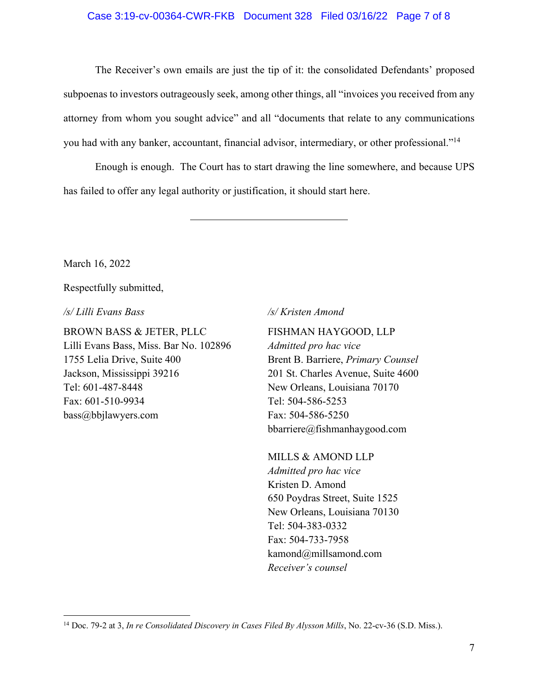### Case 3:19-cv-00364-CWR-FKB Document 328 Filed 03/16/22 Page 7 of 8

The Receiver's own emails are just the tip of it: the consolidated Defendants' proposed subpoenas to investors outrageously seek, among other things, all "invoices you received from any attorney from whom you sought advice" and all "documents that relate to any communications you had with any banker, accountant, financial advisor, intermediary, or other professional."14

Enough is enough. The Court has to start drawing the line somewhere, and because UPS has failed to offer any legal authority or justification, it should start here.

March 16, 2022

Respectfully submitted,

*/s/ Lilli Evans Bass*

BROWN BASS & JETER, PLLC Lilli Evans Bass, Miss. Bar No. 102896 1755 Lelia Drive, Suite 400 Jackson, Mississippi 39216 Tel: 601-487-8448 Fax: 601-510-9934 bass@bbjlawyers.com

#### */s/ Kristen Amond*

## FISHMAN HAYGOOD, LLP

*Admitted pro hac vice*  Brent B. Barriere, *Primary Counsel* 201 St. Charles Avenue, Suite 4600 New Orleans, Louisiana 70170 Tel: 504-586-5253 Fax: 504-586-5250 bbarriere@fishmanhaygood.com

MILLS & AMOND LLP

*Admitted pro hac vice* Kristen D. Amond 650 Poydras Street, Suite 1525 New Orleans, Louisiana 70130 Tel: 504-383-0332 Fax: 504-733-7958 kamond@millsamond.com *Receiver's counsel*

<sup>&</sup>lt;sup>14</sup> Doc. 79-2 at 3, *In re Consolidated Discovery in Cases Filed By Alysson Mills*, No. 22-cv-36 (S.D. Miss.).